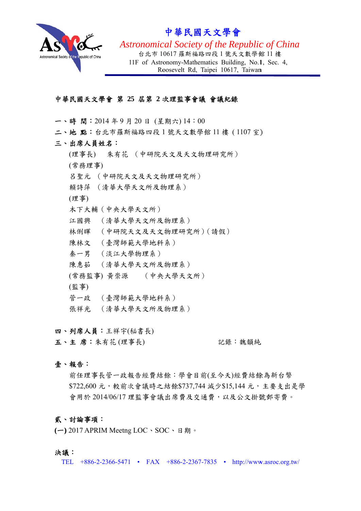

# 中華民國 國天文學 學會

Astronomical Society of the Republic of China 11F of Astronomy-Mathematics Building, No.1, Sec. 4, 台北市 10617 羅斯福路四段 1 號天文數學館 11 樓 Roosevelt Rd, Taipei 10617, Taiwan

### 中華 華民國天文 文學會 第 **2 25** 屆第 **2** 次 次理監事會 會議 會議紀 紀錄

- 一、時間: 2014年9月20日 (星期六)14:00
- 二、地 點:台北市羅斯福路四段1號天文數學館11樓 (1107室)
- 三、 、出席人員 員姓名:
	- (理事長) 朱有花 (中研院天文及天文物理研究所) (常務理事 事) 呂聖元 (中研院天文及天文物理研究所) 賴詩萍 (清華大學天文所及物理系) (理事) 木下大輔 (中央大學天文所) 江國興 (清華大學天文所及物理系)
	- 林俐暉 (中研院天文及天文物理研究所)(請假)
	- 陳林文 (臺灣師範大學地科系)
	- 秦一男 (淡江大學物理系)
	- 陳惠茹 (清華大學天文所及物理系)
	- (常務監事) 黃崇源 (中央大學天文所)
	- (監事)
	- 管一政 (臺灣師範大學地科系)
	- 張祥光 (清華大學天文所及物理系)

四、列席人員:王祥宇(秘書長)

五、主 席:朱有花(理事長) 記錄 錄:魏韻純

#### 壹、 、報告:

主 席:朱有花(理事長)<br>報告:<br>前任理事長管一政報告經費結餘:學會目前(至今天)經費結餘為新台幣 \$722,600 元,較前次會議時之結餘\$737,744 減少\$15,144 元,主要支出是學 會用於 2014/06/17 理監事會議出席費及交通費,以及公文掛號郵寄費。

#### 貳、 、討論事項 項:

( <del>一</del>) 2017 APRIM Meetng LOC、SOC、日期。

#### 決議 議:

TEL +886-2-2366-5471 • FAX +886-2-2367-7835 • http://www.asroc.org.tw/